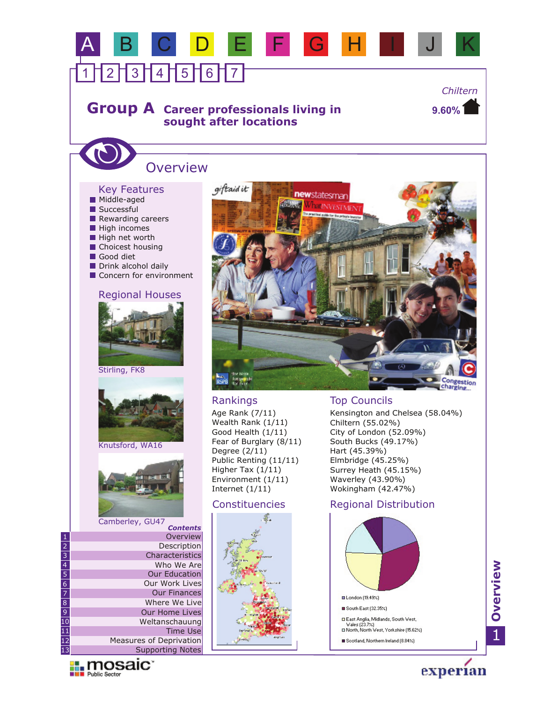# **Group A** Career professionals living in **sought after locations**

A B C D E F G H I J K

**9.60%** *Chiltern*

# **Overview**

1 1 2 1 3 1 4 1 5 1 6 1 7

#### Key Features

- **Choicest housing** Rewarding careers Good diet **High incomes** Drink alcohol daily High net worth Successful **Middle-aged**
- Concern for environment

#### Regional Houses









Camberley, GU47 *Contents*

|                          | contents                |
|--------------------------|-------------------------|
| 1                        | Overview                |
|                          | Description             |
| $\frac{2}{3}$            | Characteristics         |
| $\overline{4}$           | Who We Are              |
| $\frac{1}{5}$            | <b>Our Education</b>    |
| $\frac{6}{7}$            | Our Work Lives          |
|                          | <b>Our Finances</b>     |
| $\overline{8}$           | Where We Live           |
| $\overline{9}$           | Our Home Lives          |
| $\overline{10}$          | Weltanschauung          |
| $\hat{\mathbf{\Phi}}$    | Time Use                |
| $\overline{\mathbf{12}}$ | Measures of Deprivation |
| ß                        | Supporting Notes        |





### Rankings

Age Rank (7/11) Wealth Rank (1/11) Good Health (1/11) Fear of Burglary (8/11) Degree (2/11) Public Renting (11/11) Higher Tax (1/11) Environment (1/11) Internet (1/11)



### Top Councils

Kensington and Chelsea (58.04%) Chiltern (55.02%) City of London (52.09%) South Bucks (49.17%) Hart (45.39%) Elmbridge (45.25%) Surrey Heath (45.15%) Waverley (43.90%) Wokingham (42.47%)

### Constituencies Regional Distribution

![](_page_0_Figure_22.jpeg)

**Overview**

1

experian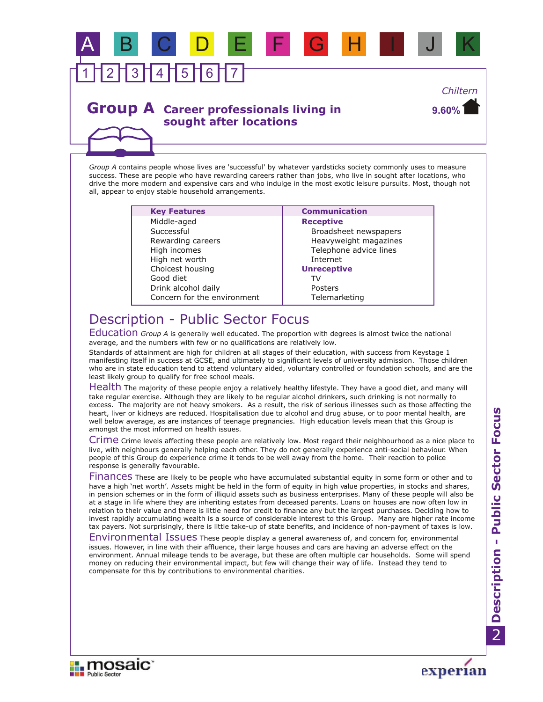# 1 1 2 1 3 1 4 1 5 1 6 1 7 A B C D E F G H I J K *Chiltern*

## **Group A** Career professionals living in **sought after locations**

*Group A* contains people whose lives are 'successful' by whatever yardsticks society commonly uses to measure success. These are people who have rewarding careers rather than jobs, who live in sought after locations, who drive the more modern and expensive cars and who indulge in the most exotic leisure pursuits. Most, though not all, appear to enjoy stable household arrangements.

| <b>Key Features</b>         | <b>Communication</b>   |
|-----------------------------|------------------------|
| Middle-aged                 | <b>Receptive</b>       |
| Successful                  | Broadsheet newspapers  |
| Rewarding careers           | Heavyweight magazines  |
| High incomes                | Telephone advice lines |
| High net worth              | Internet               |
| Choicest housing            | <b>Unreceptive</b>     |
| Good diet                   |                        |
| Drink alcohol daily         | Posters                |
| Concern for the environment | Telemarketing          |
|                             |                        |

# Description - Public Sector Focus

Education Group A is generally well educated. The proportion with degrees is almost twice the national average, and the numbers with few or no qualifications are relatively low.

Standards of attainment are high for children at all stages of their education, with success from Keystage 1 manifesting itself in success at GCSE, and ultimately to significant levels of university admission. Those children who are in state education tend to attend voluntary aided, voluntary controlled or foundation schools, and are the least likely group to qualify for free school meals.

Health The majority of these people enjoy a relatively healthy lifestyle. They have a good diet, and many will take regular exercise. Although they are likely to be regular alcohol drinkers, such drinking is not normally to excess. The majority are not heavy smokers. As a result, the risk of serious illnesses such as those affecting the heart, liver or kidneys are reduced. Hospitalisation due to alcohol and drug abuse, or to poor mental health, are well below average, as are instances of teenage pregnancies. High education levels mean that this Group is amongst the most informed on health issues.

Crime crime levels affecting these people are relatively low. Most regard their neighbourhood as a nice place to live, with neighbours generally helping each other. They do not generally experience anti-social behaviour. When people of this Group do experience crime it tends to be well away from the home. Their reaction to police response is generally favourable.

Finances These are likely to be people who have accumulated substantial equity in some form or other and to have a high 'net worth'. Assets might be held in the form of equity in high value properties, in stocks and shares, in pension schemes or in the form of illiquid assets such as business enterprises. Many of these people will also be at a stage in life where they are inheriting estates from deceased parents. Loans on houses are now often low in relation to their value and there is little need for credit to finance any but the largest purchases. Deciding how to invest rapidly accumulating wealth is a source of considerable interest to this Group. Many are higher rate income tax payers. Not surprisingly, there is little take-up of state benefits, and incidence of non-payment of taxes is low.

Environmental Issues These people display a general awareness of, and concern for, environmental issues. However, in line with their affluence, their large houses and cars are having an adverse effect on the environment. Annual mileage tends to be average, but these are often multiple car households. Some will spend money on reducing their environmental impact, but few will change their way of life. Instead they tend to compensate for this by contributions to environmental charities.

![](_page_1_Picture_12.jpeg)

![](_page_1_Picture_13.jpeg)

**9.60%**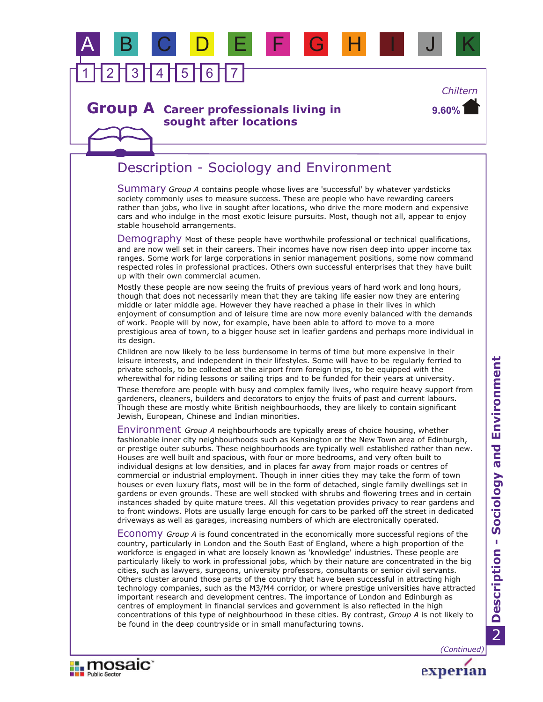# 1 1 2 1 3 1 4 1 5 1 6 1 7 A B C D E F G H I J K

### **Group A** Career professionals living in **sought after locations**

**9.60%** *Chiltern*

# Description - Sociology and Environment

Summary *Group A* contains people whose lives are 'successful' by whatever yardsticks society commonly uses to measure success. These are people who have rewarding careers rather than jobs, who live in sought after locations, who drive the more modern and expensive cars and who indulge in the most exotic leisure pursuits. Most, though not all, appear to enjoy stable household arrangements.

Demography Most of these people have worthwhile professional or technical qualifications, and are now well set in their careers. Their incomes have now risen deep into upper income tax ranges. Some work for large corporations in senior management positions, some now command respected roles in professional practices. Others own successful enterprises that they have built up with their own commercial acumen.

Mostly these people are now seeing the fruits of previous years of hard work and long hours, though that does not necessarily mean that they are taking life easier now they are entering middle or later middle age. However they have reached a phase in their lives in which enjoyment of consumption and of leisure time are now more evenly balanced with the demands of work. People will by now, for example, have been able to afford to move to a more prestigious area of town, to a bigger house set in leafier gardens and perhaps more individual in its design.

Children are now likely to be less burdensome in terms of time but more expensive in their leisure interests, and independent in their lifestyles. Some will have to be regularly ferried to private schools, to be collected at the airport from foreign trips, to be equipped with the wherewithal for riding lessons or sailing trips and to be funded for their years at university.

These therefore are people with busy and complex family lives, who require heavy support from gardeners, cleaners, builders and decorators to enjoy the fruits of past and current labours. Though these are mostly white British neighbourhoods, they are likely to contain significant Jewish, European, Chinese and Indian minorities.

Environment *Group A* neighbourhoods are typically areas of choice housing, whether fashionable inner city neighbourhoods such as Kensington or the New Town area of Edinburgh, or prestige outer suburbs. These neighbourhoods are typically well established rather than new. Houses are well built and spacious, with four or more bedrooms, and very often built to individual designs at low densities, and in places far away from major roads or centres of commercial or industrial employment. Though in inner cities they may take the form of town houses or even luxury flats, most will be in the form of detached, single family dwellings set in gardens or even grounds. These are well stocked with shrubs and flowering trees and in certain instances shaded by quite mature trees. All this vegetation provides privacy to rear gardens and to front windows. Plots are usually large enough for cars to be parked off the street in dedicated driveways as well as garages, increasing numbers of which are electronically operated.

Economy *Group A* is found concentrated in the economically more successful regions of the country, particularly in London and the South East of England, where a high proportion of the workforce is engaged in what are loosely known as 'knowledge' industries. These people are particularly likely to work in professional jobs, which by their nature are concentrated in the big cities, such as lawyers, surgeons, university professors, consultants or senior civil servants. Others cluster around those parts of the country that have been successful in attracting high technology companies, such as the M3/M4 corridor, or where prestige universities have attracted important research and development centres. The importance of London and Edinburgh as centres of employment in financial services and government is also reflected in the high concentrations of this type of neighbourhood in these cities. By contrast, *Group A* is not likely to be found in the deep countryside or in small manufacturing towns.

*(Continued)*

experian

![](_page_2_Picture_13.jpeg)